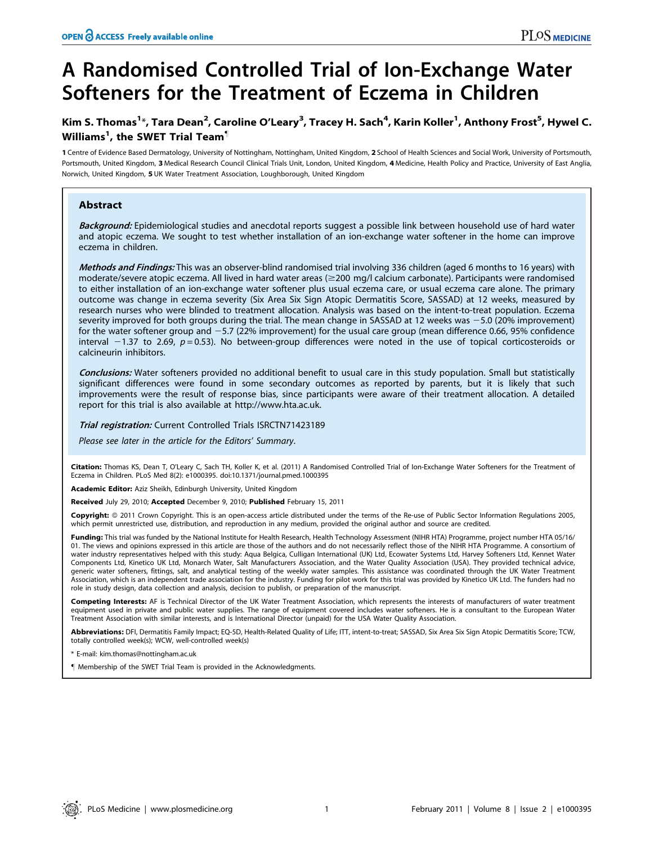# A Randomised Controlled Trial of Ion-Exchange Water Softeners for the Treatment of Eczema in Children

## Kim S. Thomas<sup>1</sup>\*, Tara Dean<sup>2</sup>, Caroline O'Leary<sup>3</sup>, Tracey H. Sach<sup>4</sup>, Karin Koller<sup>1</sup>, Anthony Frost<sup>5</sup>, Hywel C. Williams $^1$ , the SWET Trial Team $^\P$

1 Centre of Evidence Based Dermatology, University of Nottingham, Nottingham, United Kingdom, 2 School of Health Sciences and Social Work, University of Portsmouth, Portsmouth, United Kingdom, 3 Medical Research Council Clinical Trials Unit, London, United Kingdom, 4 Medicine, Health Policy and Practice, University of East Anglia, Norwich, United Kingdom, 5 UK Water Treatment Association, Loughborough, United Kingdom

## Abstract

Background: Epidemiological studies and anecdotal reports suggest a possible link between household use of hard water and atopic eczema. We sought to test whether installation of an ion-exchange water softener in the home can improve eczema in children.

Methods and Findings: This was an observer-blind randomised trial involving 336 children (aged 6 months to 16 years) with moderate/severe atopic eczema. All lived in hard water areas  $(\geq 200 \text{ mg/l}$  calcium carbonate). Participants were randomised to either installation of an ion-exchange water softener plus usual eczema care, or usual eczema care alone. The primary outcome was change in eczema severity (Six Area Six Sign Atopic Dermatitis Score, SASSAD) at 12 weeks, measured by research nurses who were blinded to treatment allocation. Analysis was based on the intent-to-treat population. Eczema severity improved for both groups during the trial. The mean change in SASSAD at 12 weeks was -5.0 (20% improvement) for the water softener group and  $-5.7$  (22% improvement) for the usual care group (mean difference 0.66, 95% confidence interval  $-1.37$  to 2.69,  $p = 0.53$ ). No between-group differences were noted in the use of topical corticosteroids or calcineurin inhibitors.

Conclusions: Water softeners provided no additional benefit to usual care in this study population. Small but statistically significant differences were found in some secondary outcomes as reported by parents, but it is likely that such improvements were the result of response bias, since participants were aware of their treatment allocation. A detailed report for this trial is also available at http://www.hta.ac.uk.

Trial registration: Current Controlled Trials ISRCTN71423189

Please see later in the article for the Editors' Summary.

Citation: Thomas KS, Dean T, O'Leary C, Sach TH, Koller K, et al. (2011) A Randomised Controlled Trial of Ion-Exchange Water Softeners for the Treatment of Eczema in Children. PLoS Med 8(2): e1000395. doi:10.1371/journal.pmed.1000395

Academic Editor: Aziz Sheikh, Edinburgh University, United Kingdom

Received July 29, 2010; Accepted December 9, 2010; Published February 15, 2011

Copyright: © 2011 Crown Copyright. This is an open-access article distributed under the terms of the Re-use of Public Sector Information Regulations 2005, which permit unrestricted use, distribution, and reproduction in any medium, provided the original author and source are credited.

Funding: This trial was funded by the National Institute for Health Research, Health Technology Assessment (NIHR HTA) Programme, project number HTA 05/16/ 01. The views and opinions expressed in this article are those of the authors and do not necessarily reflect those of the NIHR HTA Programme. A consortium of water industry representatives helped with this study: Aqua Belgica, Culligan International (UK) Ltd, Ecowater Systems Ltd, Harvey Softeners Ltd, Kennet Water Components Ltd, Kinetico UK Ltd, Monarch Water, Salt Manufacturers Association, and the Water Quality Association (USA). They provided technical advice, generic water softeners, fittings, salt, and analytical testing of the weekly water samples. This assistance was coordinated through the UK Water Treatment Association, which is an independent trade association for the industry. Funding for pilot work for this trial was provided by Kinetico UK Ltd. The funders had no role in study design, data collection and analysis, decision to publish, or preparation of the manuscript.

Competing Interests: AF is Technical Director of the UK Water Treatment Association, which represents the interests of manufacturers of water treatment equipment used in private and public water supplies. The range of equipment covered includes water softeners. He is a consultant to the European Water Treatment Association with similar interests, and is International Director (unpaid) for the USA Water Quality Association.

Abbreviations: DFI, Dermatitis Family Impact; EQ-5D, Health-Related Quality of Life; ITT, intent-to-treat; SASSAD, Six Area Six Sign Atopic Dermatitis Score; TCW, totally controlled week(s); WCW, well-controlled week(s)

\* E-mail: kim.thomas@nottingham.ac.uk

" Membership of the SWET Trial Team is provided in the Acknowledgments.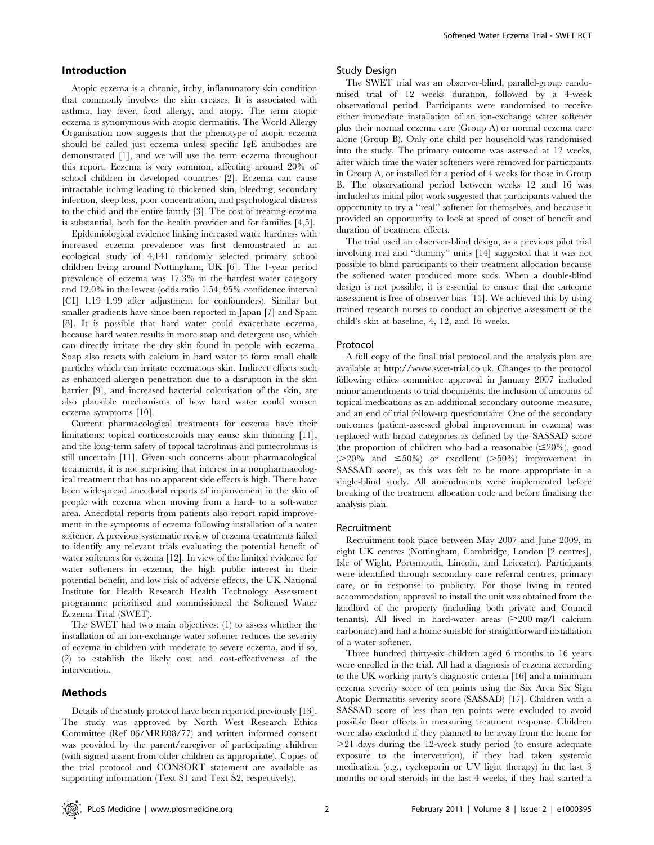## Introduction

Atopic eczema is a chronic, itchy, inflammatory skin condition that commonly involves the skin creases. It is associated with asthma, hay fever, food allergy, and atopy. The term atopic eczema is synonymous with atopic dermatitis. The World Allergy Organisation now suggests that the phenotype of atopic eczema should be called just eczema unless specific IgE antibodies are demonstrated [1], and we will use the term eczema throughout this report. Eczema is very common, affecting around 20% of school children in developed countries [2]. Eczema can cause intractable itching leading to thickened skin, bleeding, secondary infection, sleep loss, poor concentration, and psychological distress to the child and the entire family [3]. The cost of treating eczema is substantial, both for the health provider and for families [4,5].

Epidemiological evidence linking increased water hardness with increased eczema prevalence was first demonstrated in an ecological study of 4,141 randomly selected primary school children living around Nottingham, UK [6]. The 1-year period prevalence of eczema was 17.3% in the hardest water category and 12.0% in the lowest (odds ratio 1.54, 95% confidence interval [CI] 1.19–1.99 after adjustment for confounders). Similar but smaller gradients have since been reported in Japan [7] and Spain [8]. It is possible that hard water could exacerbate eczema, because hard water results in more soap and detergent use, which can directly irritate the dry skin found in people with eczema. Soap also reacts with calcium in hard water to form small chalk particles which can irritate eczematous skin. Indirect effects such as enhanced allergen penetration due to a disruption in the skin barrier [9], and increased bacterial colonisation of the skin, are also plausible mechanisms of how hard water could worsen eczema symptoms [10].

Current pharmacological treatments for eczema have their limitations; topical corticosteroids may cause skin thinning [11], and the long-term safety of topical tacrolimus and pimecrolimus is still uncertain [11]. Given such concerns about pharmacological treatments, it is not surprising that interest in a nonpharmacological treatment that has no apparent side effects is high. There have been widespread anecdotal reports of improvement in the skin of people with eczema when moving from a hard- to a soft-water area. Anecdotal reports from patients also report rapid improvement in the symptoms of eczema following installation of a water softener. A previous systematic review of eczema treatments failed to identify any relevant trials evaluating the potential benefit of water softeners for eczema [12]. In view of the limited evidence for water softeners in eczema, the high public interest in their potential benefit, and low risk of adverse effects, the UK National Institute for Health Research Health Technology Assessment programme prioritised and commissioned the Softened Water Eczema Trial (SWET).

The SWET had two main objectives: (1) to assess whether the installation of an ion-exchange water softener reduces the severity of eczema in children with moderate to severe eczema, and if so, (2) to establish the likely cost and cost-effectiveness of the intervention.

## Methods

Details of the study protocol have been reported previously [13]. The study was approved by North West Research Ethics Committee (Ref 06/MRE08/77) and written informed consent was provided by the parent/caregiver of participating children (with signed assent from older children as appropriate). Copies of the trial protocol and CONSORT statement are available as supporting information (Text S1 and Text S2, respectively).

#### Study Design

The SWET trial was an observer-blind, parallel-group randomised trial of 12 weeks duration, followed by a 4-week observational period. Participants were randomised to receive either immediate installation of an ion-exchange water softener plus their normal eczema care (Group A) or normal eczema care alone (Group B). Only one child per household was randomised into the study. The primary outcome was assessed at 12 weeks, after which time the water softeners were removed for participants in Group A, or installed for a period of 4 weeks for those in Group B. The observational period between weeks 12 and 16 was included as initial pilot work suggested that participants valued the opportunity to try a ''real'' softener for themselves, and because it provided an opportunity to look at speed of onset of benefit and duration of treatment effects.

The trial used an observer-blind design, as a previous pilot trial involving real and ''dummy'' units [14] suggested that it was not possible to blind participants to their treatment allocation because the softened water produced more suds. When a double-blind design is not possible, it is essential to ensure that the outcome assessment is free of observer bias [15]. We achieved this by using trained research nurses to conduct an objective assessment of the child's skin at baseline, 4, 12, and 16 weeks.

## Protocol

A full copy of the final trial protocol and the analysis plan are available at http://www.swet-trial.co.uk. Changes to the protocol following ethics committee approval in January 2007 included minor amendments to trial documents, the inclusion of amounts of topical medications as an additional secondary outcome measure, and an end of trial follow-up questionnaire. One of the secondary outcomes (patient-assessed global improvement in eczema) was replaced with broad categories as defined by the SASSAD score (the proportion of children who had a reasonable  $(\leq 20\%)$ , good  $(>20\%$  and  $\leq 50\%)$  or excellent  $(>50\%)$  improvement in SASSAD score), as this was felt to be more appropriate in a single-blind study. All amendments were implemented before breaking of the treatment allocation code and before finalising the analysis plan.

#### Recruitment

Recruitment took place between May 2007 and June 2009, in eight UK centres (Nottingham, Cambridge, London [2 centres], Isle of Wight, Portsmouth, Lincoln, and Leicester). Participants were identified through secondary care referral centres, primary care, or in response to publicity. For those living in rented accommodation, approval to install the unit was obtained from the landlord of the property (including both private and Council tenants). All lived in hard-water areas  $\approx 200$  mg/l calcium carbonate) and had a home suitable for straightforward installation of a water softener.

Three hundred thirty-six children aged 6 months to 16 years were enrolled in the trial. All had a diagnosis of eczema according to the UK working party's diagnostic criteria [16] and a minimum eczema severity score of ten points using the Six Area Six Sign Atopic Dermatitis severity score (SASSAD) [17]. Children with a SASSAD score of less than ten points were excluded to avoid possible floor effects in measuring treatment response. Children were also excluded if they planned to be away from the home for .21 days during the 12-week study period (to ensure adequate exposure to the intervention), if they had taken systemic medication (e.g., cyclosporin or UV light therapy) in the last 3 months or oral steroids in the last 4 weeks, if they had started a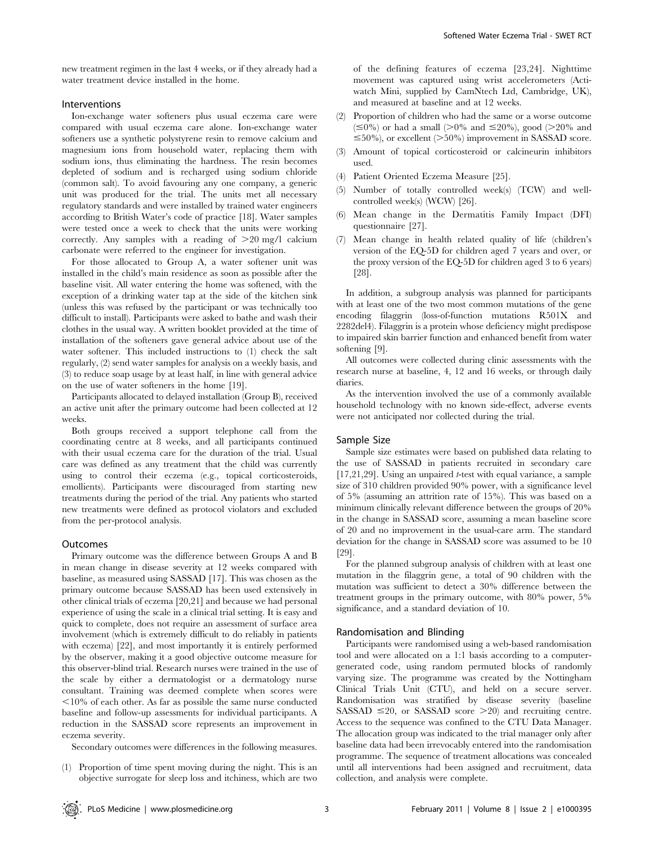new treatment regimen in the last 4 weeks, or if they already had a water treatment device installed in the home.

## Interventions

Ion-exchange water softeners plus usual eczema care were compared with usual eczema care alone. Ion-exchange water softeners use a synthetic polystyrene resin to remove calcium and magnesium ions from household water, replacing them with sodium ions, thus eliminating the hardness. The resin becomes depleted of sodium and is recharged using sodium chloride (common salt). To avoid favouring any one company, a generic unit was produced for the trial. The units met all necessary regulatory standards and were installed by trained water engineers according to British Water's code of practice [18]. Water samples were tested once a week to check that the units were working correctly. Any samples with a reading of  $>20$  mg/l calcium carbonate were referred to the engineer for investigation.

For those allocated to Group A, a water softener unit was installed in the child's main residence as soon as possible after the baseline visit. All water entering the home was softened, with the exception of a drinking water tap at the side of the kitchen sink (unless this was refused by the participant or was technically too difficult to install). Participants were asked to bathe and wash their clothes in the usual way. A written booklet provided at the time of installation of the softeners gave general advice about use of the water softener. This included instructions to (1) check the salt regularly, (2) send water samples for analysis on a weekly basis, and (3) to reduce soap usage by at least half, in line with general advice on the use of water softeners in the home [19].

Participants allocated to delayed installation (Group B), received an active unit after the primary outcome had been collected at 12 weeks.

Both groups received a support telephone call from the coordinating centre at 8 weeks, and all participants continued with their usual eczema care for the duration of the trial. Usual care was defined as any treatment that the child was currently using to control their eczema (e.g., topical corticosteroids, emollients). Participants were discouraged from starting new treatments during the period of the trial. Any patients who started new treatments were defined as protocol violators and excluded from the per-protocol analysis.

## Outcomes

Primary outcome was the difference between Groups A and B in mean change in disease severity at 12 weeks compared with baseline, as measured using SASSAD [17]. This was chosen as the primary outcome because SASSAD has been used extensively in other clinical trials of eczema [20,21] and because we had personal experience of using the scale in a clinical trial setting. It is easy and quick to complete, does not require an assessment of surface area involvement (which is extremely difficult to do reliably in patients with eczema) [22], and most importantly it is entirely performed by the observer, making it a good objective outcome measure for this observer-blind trial. Research nurses were trained in the use of the scale by either a dermatologist or a dermatology nurse consultant. Training was deemed complete when scores were  $<$  10% of each other. As far as possible the same nurse conducted baseline and follow-up assessments for individual participants. A reduction in the SASSAD score represents an improvement in eczema severity.

Secondary outcomes were differences in the following measures.

(1) Proportion of time spent moving during the night. This is an objective surrogate for sleep loss and itchiness, which are two of the defining features of eczema [23,24]. Nighttime movement was captured using wrist accelerometers (Actiwatch Mini, supplied by CamNtech Ltd, Cambridge, UK), and measured at baseline and at 12 weeks.

- (2) Proportion of children who had the same or a worse outcome  $( \leq 0\%)$  or had a small ( $> 0\%$  and  $\leq 20\%$ ), good ( $> 20\%$  and  $\leq$ 50%), or excellent ( $>$ 50%) improvement in SASSAD score.
- (3) Amount of topical corticosteroid or calcineurin inhibitors used.
- (4) Patient Oriented Eczema Measure [25].
- (5) Number of totally controlled week(s) (TCW) and wellcontrolled week(s) (WCW) [26].
- (6) Mean change in the Dermatitis Family Impact (DFI) questionnaire [27].
- (7) Mean change in health related quality of life (children's version of the EQ-5D for children aged 7 years and over, or the proxy version of the EQ-5D for children aged 3 to 6 years) [28].

In addition, a subgroup analysis was planned for participants with at least one of the two most common mutations of the gene encoding filaggrin (loss-of-function mutations R501X and 2282del4). Filaggrin is a protein whose deficiency might predispose to impaired skin barrier function and enhanced benefit from water softening [9].

All outcomes were collected during clinic assessments with the research nurse at baseline, 4, 12 and 16 weeks, or through daily diaries.

As the intervention involved the use of a commonly available household technology with no known side-effect, adverse events were not anticipated nor collected during the trial.

#### Sample Size

Sample size estimates were based on published data relating to the use of SASSAD in patients recruited in secondary care [17,21,29]. Using an unpaired *t*-test with equal variance, a sample size of 310 children provided 90% power, with a significance level of 5% (assuming an attrition rate of 15%). This was based on a minimum clinically relevant difference between the groups of 20% in the change in SASSAD score, assuming a mean baseline score of 20 and no improvement in the usual-care arm. The standard deviation for the change in SASSAD score was assumed to be 10 [29].

For the planned subgroup analysis of children with at least one mutation in the filaggrin gene, a total of 90 children with the mutation was sufficient to detect a 30% difference between the treatment groups in the primary outcome, with 80% power, 5% significance, and a standard deviation of 10.

## Randomisation and Blinding

Participants were randomised using a web-based randomisation tool and were allocated on a 1:1 basis according to a computergenerated code, using random permuted blocks of randomly varying size. The programme was created by the Nottingham Clinical Trials Unit (CTU), and held on a secure server. Randomisation was stratified by disease severity (baseline SASSAD  $\leq$ 20, or SASSAD score  $>$ 20) and recruiting centre. Access to the sequence was confined to the CTU Data Manager. The allocation group was indicated to the trial manager only after baseline data had been irrevocably entered into the randomisation programme. The sequence of treatment allocations was concealed until all interventions had been assigned and recruitment, data collection, and analysis were complete.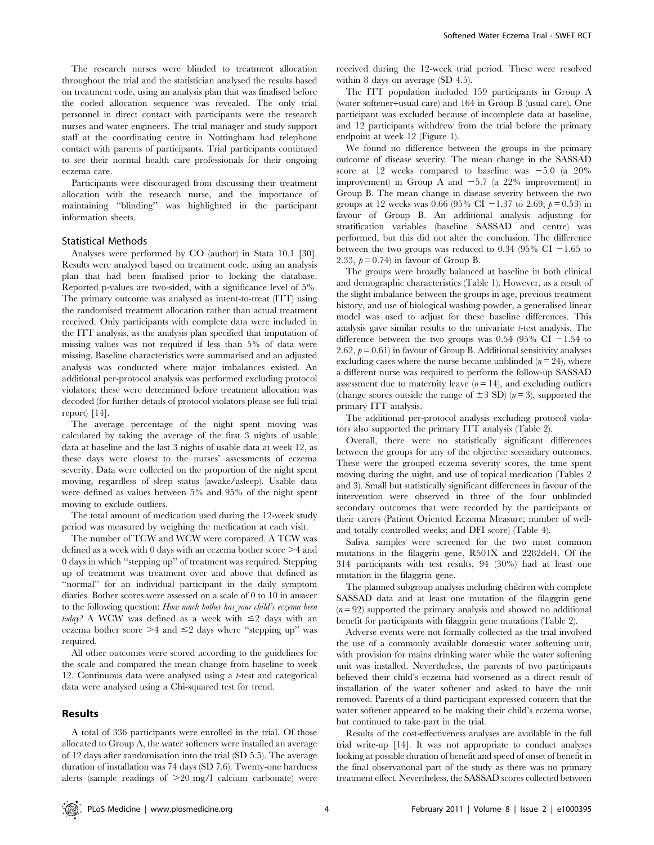The research nurses were blinded to treatment allocation throughout the trial and the statistician analysed the results based on treatment code, using an analysis plan that was finalised before the coded allocation sequence was revealed. The only trial personnel in direct contact with participants were the research nurses and water engineers. The trial manager and study support staff at the coordinating centre in Nottingham had telephone contact with parents of participants. Trial participants continued to see their normal health care professionals for their ongoing eczema care.

Participants were discouraged from discussing their treatment allocation with the research nurse, and the importance of maintaining ''blinding'' was highlighted in the participant information sheets.

#### Statistical Methods

Analyses were performed by CO (author) in Stata 10.1 [30]. Results were analysed based on treatment code, using an analysis plan that had been finalised prior to locking the database. Reported p-values are two-sided, with a significance level of 5%. The primary outcome was analysed as intent-to-treat (ITT) using the randomised treatment allocation rather than actual treatment received. Only participants with complete data were included in the ITT analysis, as the analysis plan specified that imputation of missing values was not required if less than 5% of data were missing. Baseline characteristics were summarised and an adjusted analysis was conducted where major imbalances existed. An additional per-protocol analysis was performed excluding protocol violators; these were determined before treatment allocation was decoded (for further details of protocol violators please see full trial report) [14].

The average percentage of the night spent moving was calculated by taking the average of the first 3 nights of usable data at baseline and the last 3 nights of usable data at week 12, as these days were closest to the nurses' assessments of eczema severity. Data were collected on the proportion of the night spent moving, regardless of sleep status (awake/asleep). Usable data were defined as values between 5% and 95% of the night spent moving to exclude outliers.

The total amount of medication used during the 12-week study period was measured by weighing the medication at each visit.

The number of TCW and WCW were compared. A TCW was defined as a week with  $0$  days with an eczema bother score  $\geq 4$  and 0 days in which ''stepping up'' of treatment was required. Stepping up of treatment was treatment over and above that defined as "normal" for an individual participant in the daily symptom diaries. Bother scores were assessed on a scale of 0 to 10 in answer to the following question: How much bother has your child's eczema been today? A WCW was defined as a week with  $\leq 2$  days with an eczema bother score  $>4$  and  $\leq$  days where "stepping up" was required.

All other outcomes were scored according to the guidelines for the scale and compared the mean change from baseline to week 12. Continuous data were analysed using a t-test and categorical data were analysed using a Chi-squared test for trend.

## Results

A total of 336 participants were enrolled in the trial. Of those allocated to Group A, the water softeners were installed an average of 12 days after randomisation into the trial (SD 5.5). The average duration of installation was 74 days (SD 7.6). Twenty-one hardness alerts (sample readings of  $>20$  mg/l calcium carbonate) were received during the 12-week trial period. These were resolved within 8 days on average (SD 4.5).

The ITT population included 159 participants in Group A (water softener+usual care) and 164 in Group B (usual care). One participant was excluded because of incomplete data at baseline, and 12 participants withdrew from the trial before the primary endpoint at week 12 (Figure 1).

We found no difference between the groups in the primary outcome of disease severity. The mean change in the SASSAD score at 12 weeks compared to baseline was  $-5.0$  (a 20% improvement) in Group A and  $-5.7$  (a 22% improvement) in Group B. The mean change in disease severity between the two groups at 12 weeks was 0.66 (95% CI  $-1.37$  to 2.69;  $p = 0.53$ ) in favour of Group B. An additional analysis adjusting for stratification variables (baseline SASSAD and centre) was performed, but this did not alter the conclusion. The difference between the two groups was reduced to 0.34 (95% CI  $-1.65$  to 2.33,  $p = 0.74$  in favour of Group B.

The groups were broadly balanced at baseline in both clinical and demographic characteristics (Table 1). However, as a result of the slight imbalance between the groups in age, previous treatment history, and use of biological washing powder, a generalised linear model was used to adjust for these baseline differences. This analysis gave similar results to the univariate t-test analysis. The difference between the two groups was 0.54 (95% CI  $-1.54$  to 2.62,  $p = 0.61$ ) in favour of Group B. Additional sensitivity analyses excluding cases where the nurse became unblinded  $(n = 24)$ , where a different nurse was required to perform the follow-up SASSAD assessment due to maternity leave  $(n = 14)$ , and excluding outliers (change scores outside the range of  $\pm 3$  SD) ( $n = 3$ ), supported the primary ITT analysis.

The additional per-protocol analysis excluding protocol violators also supported the primary ITT analysis (Table 2).

Overall, there were no statistically significant differences between the groups for any of the objective secondary outcomes. These were the grouped eczema severity scores, the time spent moving during the night, and use of topical medication (Tables 2 and 3). Small but statistically significant differences in favour of the intervention were observed in three of the four unblinded secondary outcomes that were recorded by the participants or their carers (Patient Oriented Eczema Measure; number of welland totally controlled weeks; and DFI score) (Table 4).

Saliva samples were screened for the two most common mutations in the filaggrin gene, R501X and 2282del4. Of the 314 participants with test results, 94 (30%) had at least one mutation in the filaggrin gene.

The planned subgroup analysis including children with complete SASSAD data and at least one mutation of the filaggrin gene  $(n= 92)$  supported the primary analysis and showed no additional benefit for participants with filaggrin gene mutations (Table 2).

Adverse events were not formally collected as the trial involved the use of a commonly available domestic water softening unit, with provision for mains drinking water while the water softening unit was installed. Nevertheless, the parents of two participants believed their child's eczema had worsened as a direct result of installation of the water softener and asked to have the unit removed. Parents of a third participant expressed concern that the water softener appeared to be making their child's eczema worse, but continued to take part in the trial.

Results of the cost-effectiveness analyses are available in the full trial write-up [14]. It was not appropriate to conduct analyses looking at possible duration of benefit and speed of onset of benefit in the final observational part of the study as there was no primary treatment effect. Nevertheless, the SASSAD scores collected between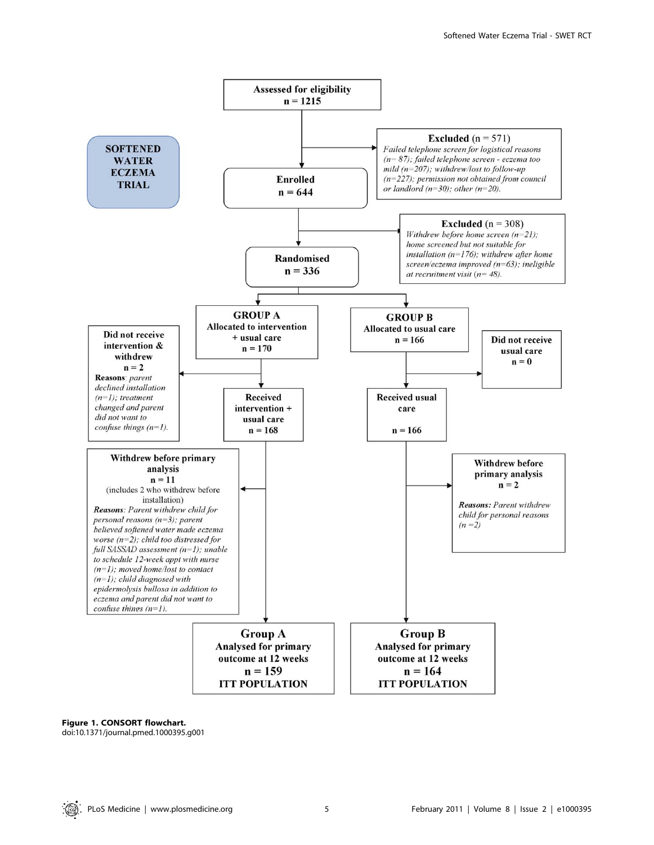

Figure 1. CONSORT flowchart.

doi:10.1371/journal.pmed.1000395.g001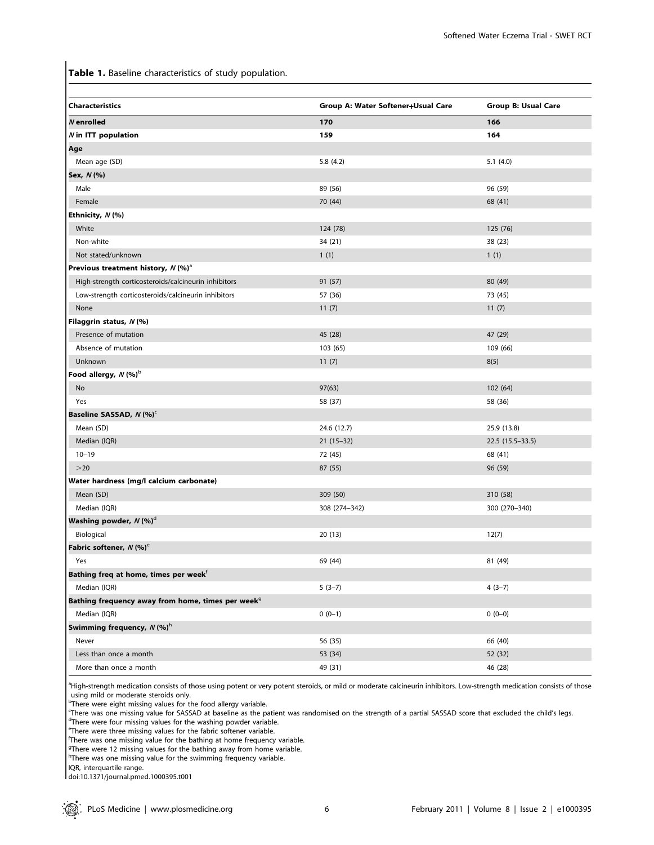Table 1. Baseline characteristics of study population.

| <b>Characteristics</b>                                        | Group A: Water Softener+Usual Care | Group B: Usual Care |
|---------------------------------------------------------------|------------------------------------|---------------------|
| N enrolled                                                    | 170                                | 166                 |
| $N$ in ITT population                                         | 159                                | 164                 |
| Age                                                           |                                    |                     |
| Mean age (SD)                                                 | 5.8(4.2)                           | 5.1(4.0)            |
| Sex, N (%)                                                    |                                    |                     |
| Male                                                          | 89 (56)                            | 96 (59)             |
| Female                                                        | 70 (44)                            | 68 (41)             |
| Ethnicity, N (%)                                              |                                    |                     |
| White                                                         | 124 (78)                           | 125 (76)            |
| Non-white                                                     | 34 (21)                            | 38 (23)             |
| Not stated/unknown                                            | 1(1)                               | 1(1)                |
| Previous treatment history, $N$ (%) <sup>a</sup>              |                                    |                     |
| High-strength corticosteroids/calcineurin inhibitors          | 91 (57)                            | 80 (49)             |
| Low-strength corticosteroids/calcineurin inhibitors           | 57 (36)                            | 73 (45)             |
| None                                                          | 11(7)                              | 11(7)               |
| Filaggrin status, N (%)                                       |                                    |                     |
| Presence of mutation                                          | 45 (28)                            | 47 (29)             |
| Absence of mutation                                           | 103 (65)                           | 109 (66)            |
| Unknown                                                       | 11(7)                              | 8(5)                |
| Food allergy, $N$ (%) <sup>b</sup>                            |                                    |                     |
| No                                                            | 97(63)                             | 102 (64)            |
| Yes                                                           | 58 (37)                            | 58 (36)             |
| Baseline SASSAD, N (%) <sup>c</sup>                           |                                    |                     |
| Mean (SD)                                                     | 24.6 (12.7)                        | 25.9 (13.8)         |
| Median (IQR)                                                  | $21(15-32)$                        | 22.5 (15.5–33.5)    |
| $10 - 19$                                                     | 72 (45)                            | 68 (41)             |
| >20                                                           | 87 (55)                            | 96 (59)             |
| Water hardness (mg/l calcium carbonate)                       |                                    |                     |
| Mean (SD)                                                     | 309 (50)                           | 310 (58)            |
| Median (IQR)                                                  | 308 (274-342)                      | 300 (270-340)       |
| Washing powder, $N$ (%) <sup>d</sup>                          |                                    |                     |
| Biological                                                    | 20(13)                             | 12(7)               |
| Fabric softener, $N$ (%) <sup>e</sup>                         |                                    |                     |
| Yes                                                           | 69 (44)                            | 81 (49)             |
| Bathing freq at home, times per week <sup>f</sup>             |                                    |                     |
| Median (IQR)                                                  | $5(3-7)$                           | $4(3-7)$            |
| Bathing frequency away from home, times per week <sup>9</sup> |                                    |                     |
| Median (IQR)                                                  | $0(0-1)$                           | $0(0-0)$            |
| Swimming frequency, $N(\%)^h$                                 |                                    |                     |
| Never                                                         | 56 (35)                            | 66 (40)             |
| Less than once a month                                        | 53 (34)                            | 52 (32)             |
| More than once a month                                        | 49 (31)                            | 46 (28)             |

<sup>a</sup>High-strength medication consists of those using potent or very potent steroids, or mild or moderate calcineurin inhibitors. Low-strength medication consists of those using mild or moderate steroids only.

<sup>b</sup>There were eight missing values for the food allergy variable.

<sup>c</sup>There was one missing value for SASSAD at baseline as the patient was randomised on the strength of a partial SASSAD score that excluded the child's legs.<br><sup>d</sup>There ware four missing values for the washing powder variabl <sup>d</sup>There were four missing values for the washing powder variable.

eThere were three missing values for the fabric softener variable.

f There was one missing value for the bathing at home frequency variable.

<sup>9</sup>There were 12 missing values for the bathing away from home variable.

<sup>h</sup>There was one missing value for the swimming frequency variable.

IQR, interquartile range.

doi:10.1371/journal.pmed.1000395.t001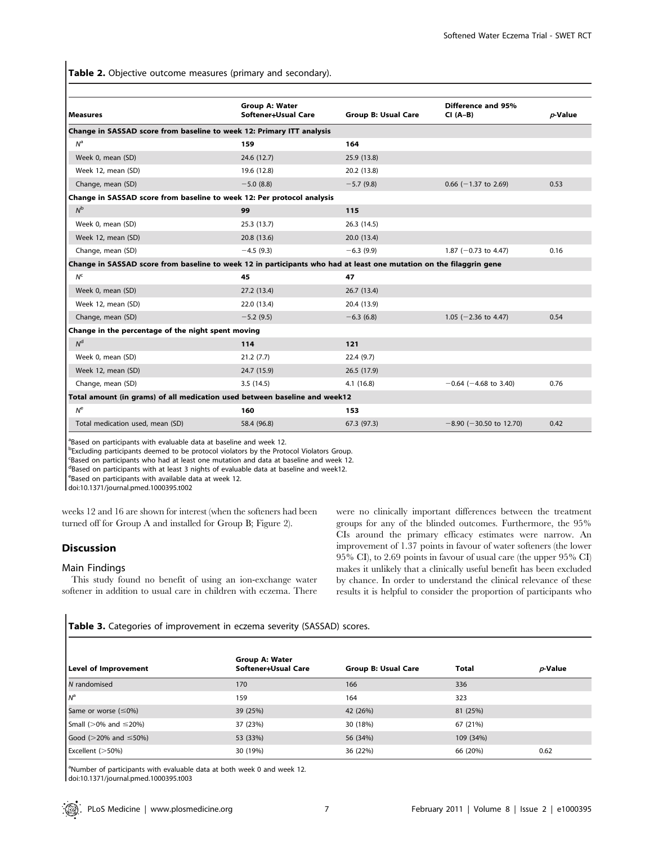Table 2. Objective outcome measures (primary and secondary).

| <b>Measures</b>                                                                                                     | <b>Group A: Water</b><br>Softener+Usual Care | Group B: Usual Care | Difference and 95%<br>$CI(A-B)$ | $p$ -Value |
|---------------------------------------------------------------------------------------------------------------------|----------------------------------------------|---------------------|---------------------------------|------------|
| Change in SASSAD score from baseline to week 12: Primary ITT analysis                                               |                                              |                     |                                 |            |
| $N^a$                                                                                                               | 159                                          | 164                 |                                 |            |
| Week 0, mean (SD)                                                                                                   | 24.6 (12.7)                                  | 25.9 (13.8)         |                                 |            |
| Week 12, mean (SD)                                                                                                  | 19.6 (12.8)                                  | 20.2 (13.8)         |                                 |            |
| Change, mean (SD)                                                                                                   | $-5.0$ (8.8)                                 | $-5.7(9.8)$         | $0.66$ (-1.37 to 2.69)          | 0.53       |
| Change in SASSAD score from baseline to week 12: Per protocol analysis                                              |                                              |                     |                                 |            |
| $N^{\rm b}$                                                                                                         | 99                                           | 115                 |                                 |            |
| Week 0, mean (SD)                                                                                                   | 25.3 (13.7)                                  | 26.3(14.5)          |                                 |            |
| Week 12, mean (SD)                                                                                                  | 20.8 (13.6)                                  | 20.0(13.4)          |                                 |            |
| Change, mean (SD)                                                                                                   | $-4.5(9.3)$                                  | $-6.3(9.9)$         | 1.87 ( $-0.73$ to 4.47)         | 0.16       |
| Change in SASSAD score from baseline to week 12 in participants who had at least one mutation on the filaggrin gene |                                              |                     |                                 |            |
| $N^{\mathsf{c}}$                                                                                                    | 45                                           | 47                  |                                 |            |
| Week 0, mean (SD)                                                                                                   | 27.2 (13.4)                                  | 26.7(13.4)          |                                 |            |
| Week 12, mean (SD)                                                                                                  | 22.0 (13.4)                                  | 20.4 (13.9)         |                                 |            |
| Change, mean (SD)                                                                                                   | $-5.2(9.5)$                                  | $-6.3(6.8)$         | 1.05 ( $-2.36$ to 4.47)         | 0.54       |
| Change in the percentage of the night spent moving                                                                  |                                              |                     |                                 |            |
| $N^{\rm d}$                                                                                                         | 114                                          | $121$               |                                 |            |
| Week 0, mean (SD)                                                                                                   | 21.2(7.7)                                    | 22.4(9.7)           |                                 |            |
| Week 12, mean (SD)                                                                                                  | 24.7 (15.9)                                  | 26.5 (17.9)         |                                 |            |
| Change, mean (SD)                                                                                                   | 3.5(14.5)                                    | 4.1(16.8)           | $-0.64$ ( $-4.68$ to 3.40)      | 0.76       |
| Total amount (in grams) of all medication used between baseline and week12                                          |                                              |                     |                                 |            |
| $N^e$                                                                                                               | 160                                          | 153                 |                                 |            |
| Total medication used, mean (SD)                                                                                    | 58.4 (96.8)                                  | 67.3 (97.3)         | $-8.90$ ( $-30.50$ to 12.70)    | 0.42       |

<sup>a</sup>Based on participants with evaluable data at baseline and week 12.

**bExcluding participants deemed to be protocol violators by the Protocol Violators Group.** 

<sup>c</sup>Based on participants who had at least one mutation and data at baseline and week 12.

<sup>d</sup>Based on participants with at least 3 nights of evaluable data at baseline and week12.

e Based on participants with available data at week 12.

doi:10.1371/journal.pmed.1000395.t002

weeks 12 and 16 are shown for interest (when the softeners had been turned off for Group A and installed for Group B; Figure 2).

## Discussion

## Main Findings

This study found no benefit of using an ion-exchange water softener in addition to usual care in children with eczema. There

were no clinically important differences between the treatment groups for any of the blinded outcomes. Furthermore, the 95% CIs around the primary efficacy estimates were narrow. An improvement of 1.37 points in favour of water softeners (the lower 95% CI), to 2.69 points in favour of usual care (the upper 95% CI) makes it unlikely that a clinically useful benefit has been excluded by chance. In order to understand the clinical relevance of these results it is helpful to consider the proportion of participants who

Table 3. Categories of improvement in eczema severity (SASSAD) scores.

| Level of Improvement             | Group A: Water<br>Softener+Usual Care | Group B: Usual Care | <b>Total</b> | p-Value |
|----------------------------------|---------------------------------------|---------------------|--------------|---------|
| N randomised                     | 170                                   | 166                 | 336          |         |
| $N^a$                            | 159                                   | 164                 | 323          |         |
| Same or worse $(\leq 0\%)$       | 39 (25%)                              | 42 (26%)            | 81 (25%)     |         |
| Small ( $>0\%$ and $\leq$ 20%)   | 37 (23%)                              | 30 (18%)            | 67 (21%)     |         |
| Good ( $>20\%$ and $\leq 50\%$ ) | 53 (33%)                              | 56 (34%)            | 109 (34%)    |         |
| Excellent $(>50%)$               | 30 (19%)                              | 36 (22%)            | 66 (20%)     | 0.62    |

<sup>a</sup>Number of participants with evaluable data at both week 0 and week 12. doi:10.1371/journal.pmed.1000395.t003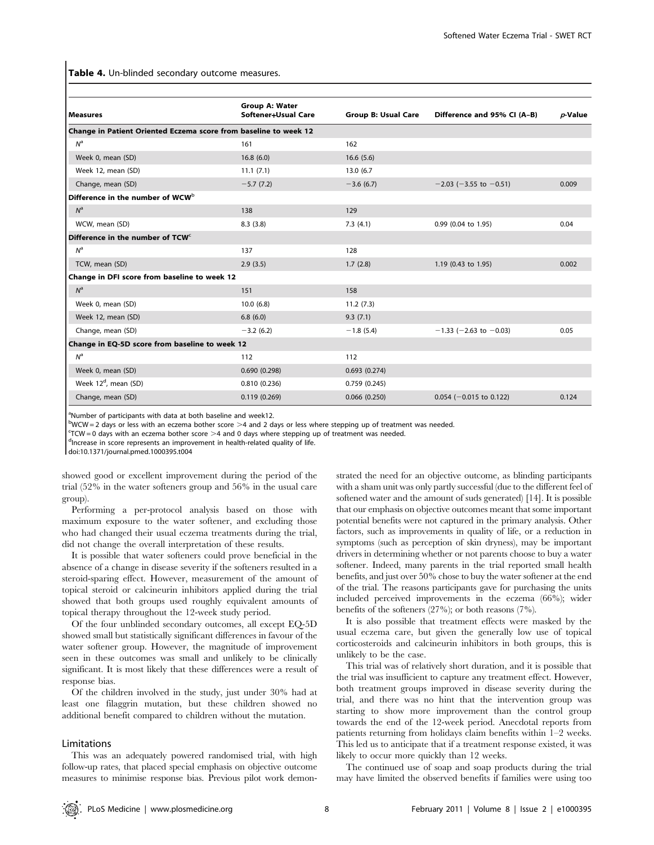Table 4. Un-blinded secondary outcome measures.

| l Measures                                                                                      | <b>Group A: Water</b><br>Softener+Usual Care | <b>Group B: Usual Care</b> | Difference and 95% CI (A-B) | $p$ -Value |
|-------------------------------------------------------------------------------------------------|----------------------------------------------|----------------------------|-----------------------------|------------|
| Change in Patient Oriented Eczema score from baseline to week 12                                |                                              |                            |                             |            |
| $N^a$                                                                                           | 161                                          | 162                        |                             |            |
| Week 0, mean (SD)                                                                               | 16.8(6.0)                                    | 16.6(5.6)                  |                             |            |
| Week 12, mean (SD)                                                                              | 11.1(7.1)                                    | 13.0 (6.7                  |                             |            |
| Change, mean (SD)                                                                               | $-5.7(7.2)$                                  | $-3.6(6.7)$                | $-2.03$ (-3.55 to -0.51)    | 0.009      |
| $\mathsf{\mathsf{I}}$ Difference in the number of WCW $\mathsf{\mathsf{I}}^\mathsf{\mathsf{b}}$ |                                              |                            |                             |            |
| $N^a$                                                                                           | 138                                          | 129                        |                             |            |
| WCW, mean (SD)                                                                                  | 8.3(3.8)                                     | 7.3(4.1)                   | 0.99 (0.04 to 1.95)         | 0.04       |
| Difference in the number of TCW <sup>c</sup>                                                    |                                              |                            |                             |            |
| $N^a$                                                                                           | 137                                          | 128                        |                             |            |
| TCW, mean (SD)                                                                                  | 2.9(3.5)                                     | 1.7(2.8)                   | 1.19 (0.43 to 1.95)         | 0.002      |
| Change in DFI score from baseline to week 12                                                    |                                              |                            |                             |            |
| $N^a$                                                                                           | 151                                          | 158                        |                             |            |
| Week 0, mean (SD)                                                                               | 10.0(6.8)                                    | 11.2(7.3)                  |                             |            |
| Week 12, mean (SD)                                                                              | 6.8(6.0)                                     | 9.3(7.1)                   |                             |            |
| Change, mean (SD)                                                                               | $-3.2(6.2)$                                  | $-1.8(5.4)$                | $-1.33$ (-2.63 to -0.03)    | 0.05       |
| Change in EQ-5D score from baseline to week 12                                                  |                                              |                            |                             |            |
| $N^a$                                                                                           | 112                                          | 112                        |                             |            |
| Week 0, mean (SD)                                                                               | 0.690(0.298)                                 | 0.693(0.274)               |                             |            |
| Week $12^d$ , mean (SD)                                                                         | 0.810(0.236)                                 | 0.759(0.245)               |                             |            |
| Change, mean (SD)                                                                               | 0.119(0.269)                                 | 0.066(0.250)               | $0.054$ (-0.015 to 0.122)   | 0.124      |

<sup>a</sup>Number of participants with data at both baseline and week12.

 $b$ WCW = 2 days or less with an eczema bother score  $>$ 4 and 2 days or less where stepping up of treatment was needed.<br>CTCW = 0 days with an eczema bother score  $>$ 4 and 0 days where stepping up of treatment was needed.

 $TCW = 0$  days with an eczema bother score  $>4$  and 0 days where stepping up of treatment was needed.

<sup>1</sup>Increase in score represents an improvement in health-related quality of life.

doi:10.1371/journal.pmed.1000395.t004

showed good or excellent improvement during the period of the trial (52% in the water softeners group and 56% in the usual care group).

Performing a per-protocol analysis based on those with maximum exposure to the water softener, and excluding those who had changed their usual eczema treatments during the trial, did not change the overall interpretation of these results.

It is possible that water softeners could prove beneficial in the absence of a change in disease severity if the softeners resulted in a steroid-sparing effect. However, measurement of the amount of topical steroid or calcineurin inhibitors applied during the trial showed that both groups used roughly equivalent amounts of topical therapy throughout the 12-week study period.

Of the four unblinded secondary outcomes, all except EQ-5D showed small but statistically significant differences in favour of the water softener group. However, the magnitude of improvement seen in these outcomes was small and unlikely to be clinically significant. It is most likely that these differences were a result of response bias.

Of the children involved in the study, just under 30% had at least one filaggrin mutation, but these children showed no additional benefit compared to children without the mutation.

#### Limitations

This was an adequately powered randomised trial, with high follow-up rates, that placed special emphasis on objective outcome measures to minimise response bias. Previous pilot work demonstrated the need for an objective outcome, as blinding participants with a sham unit was only partly successful (due to the different feel of softened water and the amount of suds generated) [14]. It is possible that our emphasis on objective outcomes meant that some important potential benefits were not captured in the primary analysis. Other factors, such as improvements in quality of life, or a reduction in symptoms (such as perception of skin dryness), may be important drivers in determining whether or not parents choose to buy a water softener. Indeed, many parents in the trial reported small health benefits, and just over 50% chose to buy the water softener at the end of the trial. The reasons participants gave for purchasing the units included perceived improvements in the eczema (66%); wider benefits of the softeners (27%); or both reasons (7%).

It is also possible that treatment effects were masked by the usual eczema care, but given the generally low use of topical corticosteroids and calcineurin inhibitors in both groups, this is unlikely to be the case.

This trial was of relatively short duration, and it is possible that the trial was insufficient to capture any treatment effect. However, both treatment groups improved in disease severity during the trial, and there was no hint that the intervention group was starting to show more improvement than the control group towards the end of the 12-week period. Anecdotal reports from patients returning from holidays claim benefits within 1–2 weeks. This led us to anticipate that if a treatment response existed, it was likely to occur more quickly than 12 weeks.

The continued use of soap and soap products during the trial may have limited the observed benefits if families were using too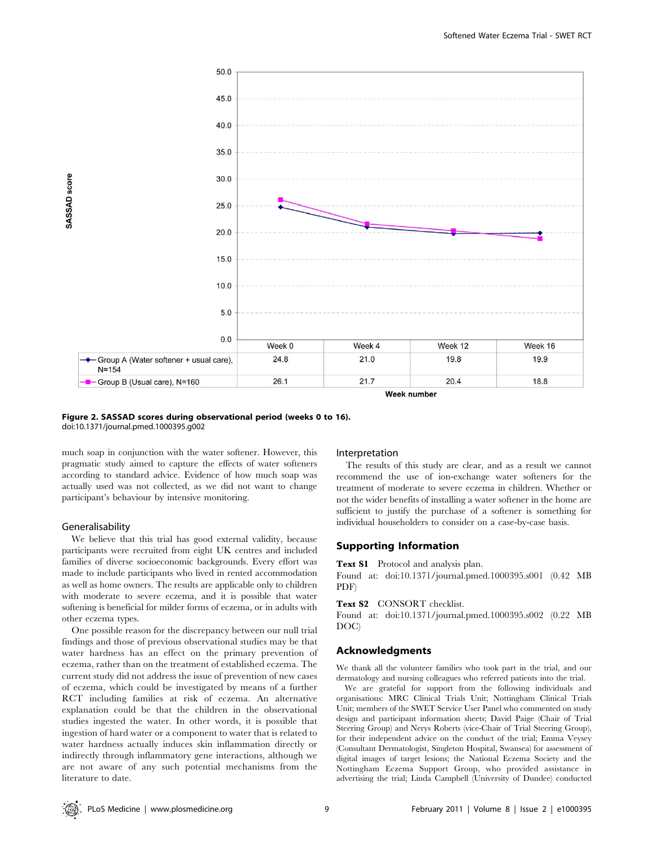

Figure 2. SASSAD scores during observational period (weeks 0 to 16). doi:10.1371/journal.pmed.1000395.g002

much soap in conjunction with the water softener. However, this pragmatic study aimed to capture the effects of water softeners according to standard advice. Evidence of how much soap was actually used was not collected, as we did not want to change participant's behaviour by intensive monitoring.

## Generalisability

We believe that this trial has good external validity, because participants were recruited from eight UK centres and included families of diverse socioeconomic backgrounds. Every effort was made to include participants who lived in rented accommodation as well as home owners. The results are applicable only to children with moderate to severe eczema, and it is possible that water softening is beneficial for milder forms of eczema, or in adults with other eczema types.

One possible reason for the discrepancy between our null trial findings and those of previous observational studies may be that water hardness has an effect on the primary prevention of eczema, rather than on the treatment of established eczema. The current study did not address the issue of prevention of new cases of eczema, which could be investigated by means of a further RCT including families at risk of eczema. An alternative explanation could be that the children in the observational studies ingested the water. In other words, it is possible that ingestion of hard water or a component to water that is related to water hardness actually induces skin inflammation directly or indirectly through inflammatory gene interactions, although we are not aware of any such potential mechanisms from the literature to date.

## Interpretation

The results of this study are clear, and as a result we cannot recommend the use of ion-exchange water softeners for the treatment of moderate to severe eczema in children. Whether or not the wider benefits of installing a water softener in the home are sufficient to justify the purchase of a softener is something for individual householders to consider on a case-by-case basis.

## Supporting Information

Text S1 Protocol and analysis plan.

Found at: doi:10.1371/journal.pmed.1000395.s001 (0.42 MB PDF)

## Text S2 CONSORT checklist.

Found at: doi:10.1371/journal.pmed.1000395.s002 (0.22 MB DOC)

## Acknowledgments

We thank all the volunteer families who took part in the trial, and our dermatology and nursing colleagues who referred patients into the trial.

We are grateful for support from the following individuals and organisations: MRC Clinical Trials Unit; Nottingham Clinical Trials Unit; members of the SWET Service User Panel who commented on study design and participant information sheets; David Paige (Chair of Trial Steering Group) and Nerys Roberts (vice-Chair of Trial Steering Group), for their independent advice on the conduct of the trial; Emma Veysey (Consultant Dermatologist, Singleton Hospital, Swansea) for assessment of digital images of target lesions; the National Eczema Society and the Nottingham Eczema Support Group, who provided assistance in advertising the trial; Linda Campbell (University of Dundee) conducted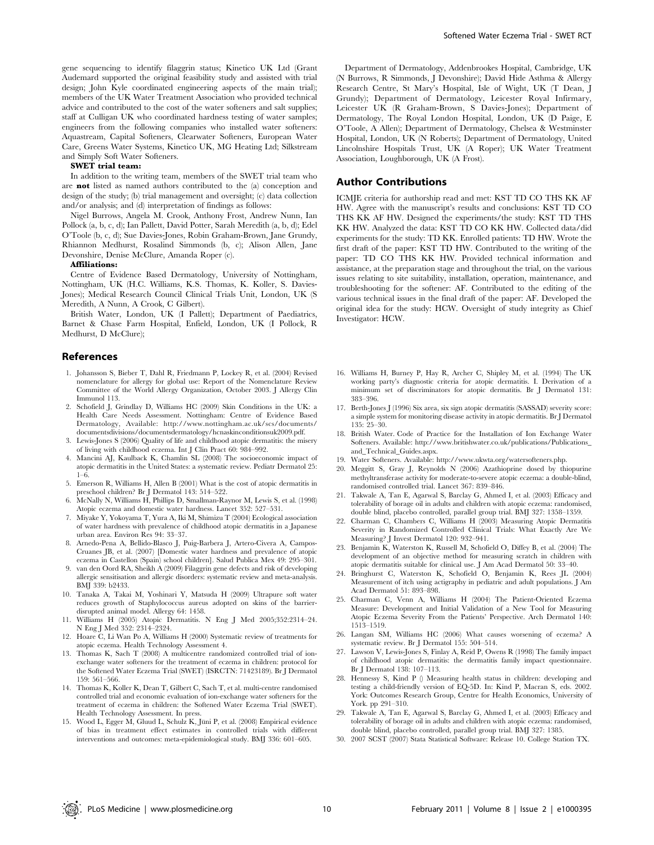gene sequencing to identify filaggrin status; Kinetico UK Ltd (Grant Audemard supported the original feasibility study and assisted with trial design; John Kyle coordinated engineering aspects of the main trial); members of the UK Water Treatment Association who provided technical advice and contributed to the cost of the water softeners and salt supplies; staff at Culligan UK who coordinated hardness testing of water samples; engineers from the following companies who installed water softeners: Aquastream, Capital Softeners, Clearwater Softeners, European Water Care, Greens Water Systems, Kinetico UK, MG Heating Ltd; Silkstream and Simply Soft Water Softeners.

#### SWET trial team:

In addition to the writing team, members of the SWET trial team who are not listed as named authors contributed to the (a) conception and design of the study; (b) trial management and oversight; (c) data collection and/or analysis; and (d) interpretation of findings as follows:

Nigel Burrows, Angela M. Crook, Anthony Frost, Andrew Nunn, Ian Pollock (a, b, c, d); Ian Pallett, David Potter, Sarah Meredith (a, b, d); Edel O'Toole (b, c, d); Sue Davies-Jones, Robin Graham-Brown, Jane Grundy, Rhiannon Medhurst, Rosalind Simmonds (b, c); Alison Allen, Jane Devonshire, Denise McClure, Amanda Roper (c).

#### Affiliations:

Centre of Evidence Based Dermatology, University of Nottingham, Nottingham, UK (H.C. Williams, K.S. Thomas, K. Koller, S. Davies-Jones); Medical Research Council Clinical Trials Unit, London, UK (S Meredith, A Nunn, A Crook, C Gilbert).

British Water, London, UK (I Pallett); Department of Paediatrics, Barnet & Chase Farm Hospital, Enfield, London, UK (I Pollock, R Medhurst, D McClure);

#### References

- 1. Johansson S, Bieber T, Dahl R, Friedmann P, Lockey R, et al. (2004) Revised nomenclature for allergy for global use: Report of the Nomenclature Review Committee of the World Allergy Organization, October 2003. J Allergy Clin Immunol 113.
- 2. Schofield J, Grindlay D, Williams HC (2009) Skin Conditions in the UK: a Health Care Needs Assessment. Nottingham: Centre of Evidence Based Dermatology, Available: http://www.nottingham.ac.uk/scs/documents/ documentsdivisions/documentsdermatology/hcnaskinconditionsuk2009.pdf.
- 3. Lewis-Jones S (2006) Quality of life and childhood atopic dermatitis: the misery of living with childhood eczema. Int J Clin Pract 60: 984–992.
- 4. Mancini AJ, Kaulback K, Chamlin SL (2008) The socioeconomic impact of atopic dermatitis in the United States: a systematic review. Pediatr Dermatol 25: 1–6.
- 5. Emerson R, Williams H, Allen B (2001) What is the cost of atopic dermatitis in preschool children? Br J Dermatol 143: 514–522.
- McNally N, Williams H, Phillips D, Smallman-Raynor M, Lewis S, et al. (1998) Atopic eczema and domestic water hardness. Lancet 352: 527–531.
- 7. Miyake Y, Yokoyama T, Yura A, Iki M, Shimizu T (2004) Ecological association of water hardness with prevalence of childhood atopic dermatitis in a Japanese urban area. Environ Res 94: 33–37.
- 8. Arnedo-Pena A, Bellido-Blasco J, Puig-Barbera J, Artero-Civera A, Campos-Cruanes JB, et al. (2007) [Domestic water hardness and prevalence of atopic eczema in Castellon (Spain) school children]. Salud Publica Mex 49: 295–301.
- 9. van den Oord RA, Sheikh A (2009) Filaggrin gene defects and risk of developing allergic sensitisation and allergic disorders: systematic review and meta-analysis. BMJ 339: b2433.
- 10. Tanaka A, Takai M, Yoshinari Y, Matsuda H (2009) Ultrapure soft water reduces growth of Staphylococcus aureus adopted on skins of the barrierdisrupted animal model. Allergy 64: 1458.
- 11. Williams H (2005) Atopic Dermatitis. N Eng J Med 2005;352:2314–24. N Eng J Med 352: 2314–2324.
- 12. Hoare C, Li Wan Po A, Williams H (2000) Systematic review of treatments for atopic eczema. Health Technology Assessment 4.
- 13. Thomas K, Sach T (2008) A multicentre randomized controlled trial of ionexchange water softeners for the treatment of eczema in children: protocol for the Softened Water Eczema Trial (SWET) (ISRCTN: 71423189). Br J Dermatol 159: 561–566.
- 14. Thomas K, Koller K, Dean T, Gilbert C, Sach T, et al. multi-centre randomised controlled trial and economic evaluation of ion-exchange water softeners for the treatment of eczema in children: the Softened Water Eczema Trial (SWET). Health Technology Assessment. In press.
- 15. Wood L, Egger M, Gluud L, Schulz K, Jüni P, et al. (2008) Empirical evidence of bias in treatment effect estimates in controlled trials with different interventions and outcomes: meta-epidemiological study. BMJ 336: 601–605.

Department of Dermatology, Addenbrookes Hospital, Cambridge, UK (N Burrows, R Simmonds, J Devonshire); David Hide Asthma & Allergy Research Centre, St Mary's Hospital, Isle of Wight, UK (T Dean, J Grundy); Department of Dermatology, Leicester Royal Infirmary, Leicester UK (R Graham-Brown, S Davies-Jones); Department of Dermatology, The Royal London Hospital, London, UK (D Paige, E O'Toole, A Allen); Department of Dermatology, Chelsea & Westminster Hospital, London, UK (N Roberts); Department of Dermatology, United Lincolnshire Hospitals Trust, UK (A Roper); UK Water Treatment Association, Loughborough, UK (A Frost).

## Author Contributions

ICMJE criteria for authorship read and met: KST TD CO THS KK AF HW. Agree with the manuscript's results and conclusions: KST TD CO THS KK AF HW. Designed the experiments/the study: KST TD THS KK HW. Analyzed the data: KST TD CO KK HW. Collected data/did experiments for the study: TD KK. Enrolled patients: TD HW. Wrote the first draft of the paper: KST TD HW. Contributed to the writing of the paper: TD CO THS KK HW. Provided technical information and assistance, at the preparation stage and throughout the trial, on the various issues relating to site suitability, installation, operation, maintenance, and troubleshooting for the softener: AF. Contributed to the editing of the various technical issues in the final draft of the paper: AF. Developed the original idea for the study: HCW. Oversight of study integrity as Chief Investigator: HCW.

- 16. Williams H, Burney P, Hay R, Archer C, Shipley M, et al. (1994) The UK working party's diagnostic criteria for atopic dermatitis. I. Derivation of a minimum set of discriminators for atopic dermatitis. Br J Dermatol 131: 383–396.
- 17. Berth-Jones J (1996) Six area, six sign atopic dermatitis (SASSAD) severity score: a simple system for monitoring disease activity in atopic dermatitis. Br J Dermatol 135: 25–30.
- 18. British Water. Code of Practice for the Installation of Ion Exchange Water Softeners. Available: http://www.britishwater.co.uk/publications/Publications\_ and\_Technical\_Guides.aspx.
- 19. Water Softeners. Available: http://www.ukwta.org/watersofteners.php.
- 20. Meggitt S, Gray J, Reynolds N (2006) Azathioprine dosed by thiopurine methyltransferase activity for moderate-to-severe atopic eczema: a double-blind, randomised controlled trial. Lancet 367: 839–846.
- 21. Takwale A, Tan E, Agarwal S, Barclay G, Ahmed I, et al. (2003) Efficacy and tolerability of borage oil in adults and children with atopic eczema: randomised, double blind, placebo controlled, parallel group trial. BMJ 327: 1358–1359.
- 22. Charman C, Chambers C, Williams H (2003) Measuring Atopic Dermatitis Severity in Randomized Controlled Clinical Trials: What Exactly Are We Measuring? J Invest Dermatol 120: 932–941.
- 23. Benjamin K, Waterston K, Russell M, Schofield O, Diffey B, et al. (2004) The development of an objective method for measuring scratch in children with atopic dermatitis suitable for clinical use. J Am Acad Dermatol 50: 33–40.
- 24. Bringhurst C, Waterston K, Schofield O, Benjamin K, Rees JL (2004) Measurement of itch using actigraphy in pediatric and adult populations. J Am Acad Dermatol 51: 893–898.
- 25. Charman C, Venn A, Williams H (2004) The Patient-Oriented Eczema Measure: Development and Initial Validation of a New Tool for Measuring Atopic Eczema Severity From the Patients' Perspective. Arch Dermatol 140: 1513–1519.
- 26. Langan SM, Williams HC (2006) What causes worsening of eczema? A systematic review. Br J Dermatol 155: 504–514.
- 27. Lawson V, Lewis-Jones S, Finlay A, Reid P, Owens R (1998) The family impact of childhood atopic dermatitis: the dermatitis family impact questionnaire. Br J Dermatol 138: 107–113.
- 28. Hennessy S, Kind P () Measuring health status in children: developing and testing a child-friendly version of EQ-5D. In: Kind P, Macran S, eds. 2002. York: Outcomes Research Group, Centre for Health Economics, University of York. pp 291–310.
- 29. Takwale A, Tan E, Agarwal S, Barclay G, Ahmed I, et al. (2003) Efficacy and tolerability of borage oil in adults and children with atopic eczema: randomised, double blind, placebo controlled, parallel group trial. BMJ 327: 1385.
- 30. 2007 SCST (2007) Stata Statistical Software: Release 10. College Station TX.